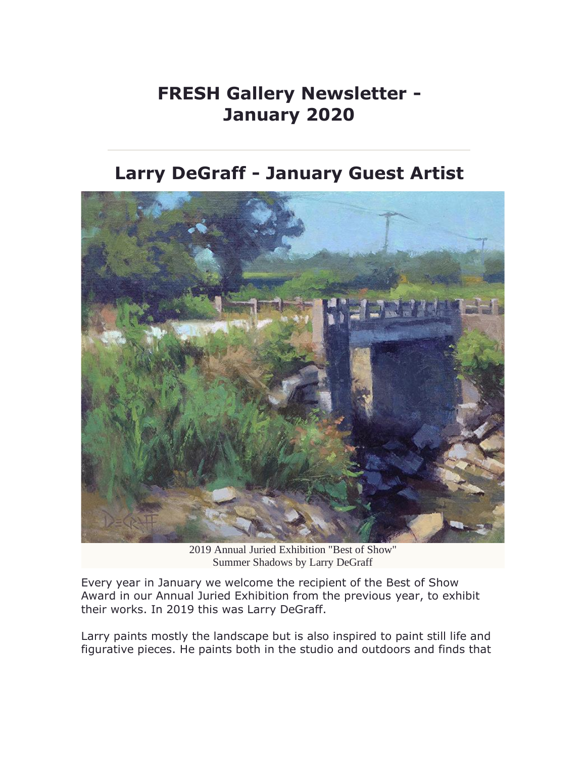## **FRESH Gallery Newsletter - January 2020**

**Larry DeGraff - January Guest Artist**



2019 Annual Juried [Exhibition](http://link.faso.com/c/443/80d7aa18f7426a757402d869dbee6e02a735851bc06a7f69f8e04b49fc7d9fad) "Best of Show" Summer [Shadows](http://link.faso.com/c/443/80d7aa18f7426a757402d869dbee6e02a735851bc06a7f69f8e04b49fc7d9fad) by Larry DeGraff

Every year in January we welcome the recipient of the Best of Show Award in our Annual Juried Exhibition from the previous year, to exhibit their works. In 2019 this was Larry DeGraff.

Larry paints mostly the landscape but is also inspired to paint still life and figurative pieces. He paints both in the studio and outdoors and finds that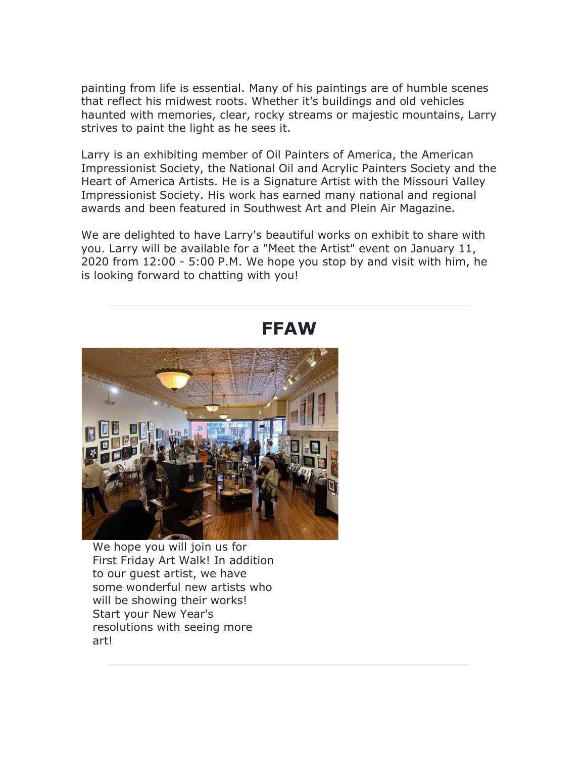painting from life is essential. Many of his paintings are of humble scenes that reflect his midwest roots. Whether it's buildings and old vehicles haunted with memories, clear, rocky streams or majestic mountains, Larry strives to paint the light as he sees it.

Larry is an exhibiting member of Oil Painters of America, the American Impressionist Society, the National Oil and Acrylic Painters Society and the Heart of America Artists. He is a Signature Artist with the Missouri Valley Impressionist Society. His work has earned many national and regional awards and been featured in Southwest Art and Plein Air Magazine.

We are delighted to have Larry's beautiful works on exhibit to share with you. Larry will be available for a "Meet the Artist" event on January 11, 2020 from 12:00 - 5:00 P.M. We hope you stop by and visit with him, he is looking forward to chatting with you!



#### **FFAW**

We hope you will join us for First Friday Art Walk! In addition to our guest artist, we have some wonderful new artists who will be showing their works! Start your New Year's resolutions with seeing more art!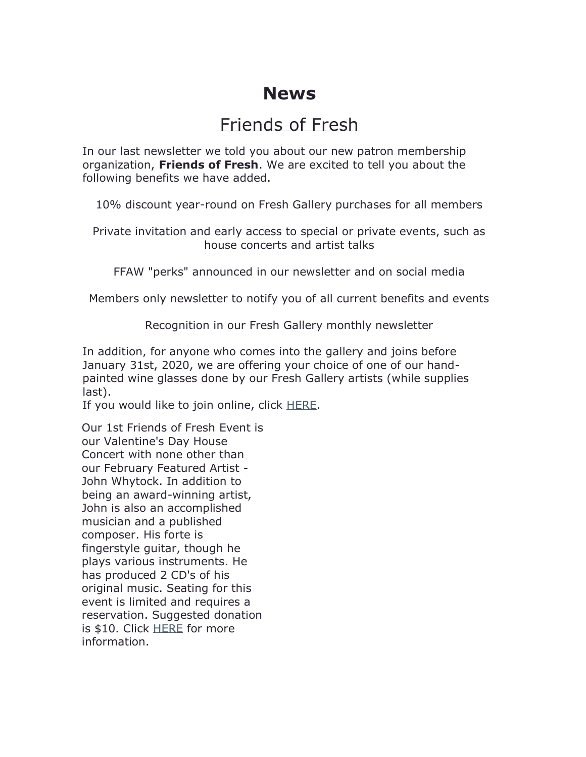#### **News**

## Friends of Fresh

In our last newsletter we told you about our new patron membership organization, **Friends of Fresh**. We are excited to tell you about the following benefits we have added.

10% discount year-round on Fresh Gallery purchases for all members

Private invitation and early access to special or private events, such as house concerts and artist talks

FFAW "perks" announced in our newsletter and on social media

Members only newsletter to notify you of all current benefits and events

Recognition in our Fresh Gallery monthly newsletter

In addition, for anyone who comes into the gallery and joins before January 31st, 2020, we are offering your choice of one of our handpainted wine glasses done by our Fresh Gallery artists (while supplies last).

If you would like to join online, click [HERE.](http://link.faso.com/c/443/80d7aa18f7426a757402d869dbee6e023bddbbdf5d4ff080c31a6860b11c9d5b)

Our 1st Friends of Fresh Event is our Valentine's Day House Concert with none other than our February Featured Artist - John Whytock. In addition to being an award-winning artist, John is also an accomplished musician and a published composer. His forte is fingerstyle guitar, though he plays various instruments. He has produced 2 CD's of his original music. Seating for this event is limited and requires a reservation. Suggested donation is \$10. Click [HERE](http://link.faso.com/c/443/80d7aa18f7426a757402d869dbee6e02a735851bc06a7f6914a8bb3dd37f7e6b) for more information.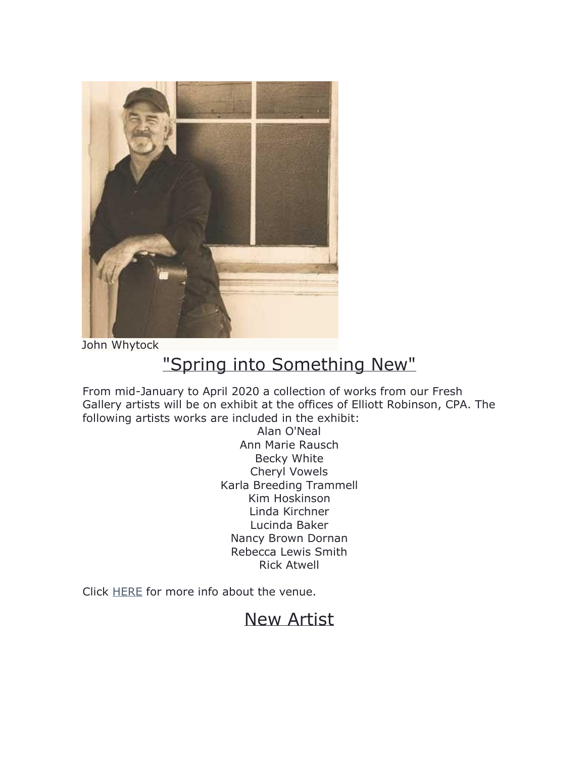

John [Whytock](http://link.faso.com/c/443/80d7aa18f7426a757402d869dbee6e023bddbbdf5d4ff080ddbf9dae152b2609)

# "Spring into Something New"

From mid-January to April 2020 a collection of works from our Fresh Gallery artists will be on exhibit at the offices of Elliott Robinson, CPA. The following artists works are included in the exhibit:

> Alan O'Neal Ann Marie Rausch Becky White Cheryl Vowels Karla Breeding Trammell Kim Hoskinson Linda Kirchner Lucinda Baker Nancy Brown Dornan Rebecca Lewis Smith Rick Atwell

Click [HERE](http://link.faso.com/c/443/80d7aa18f7426a757402d869dbee6e023bddbbdf5d4ff080af0937d0918ebba4) for more info about the venue.

#### New Artist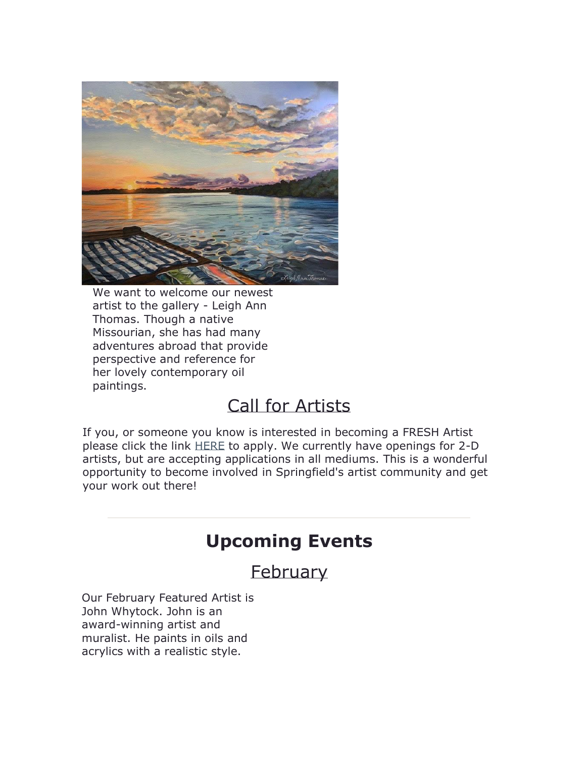

We want to welcome our newest artist to the gallery - Leigh Ann Thomas. Though a native Missourian, she has had many adventures abroad that provide perspective and reference for her lovely contemporary oil paintings.

### Call for Artists

If you, or someone you know is interested in becoming a FRESH Artist please click the link [HERE](http://link.faso.com/c/443/80d7aa18f7426a757402d869dbee6e023bddbbdf5d4ff08098ea21c099f8140f) to apply. We currently have openings for 2-D artists, but are accepting applications in all mediums. This is a wonderful opportunity to become involved in Springfield's artist community and get your work out there!

## **Upcoming Events**

### February

Our February Featured Artist is John Whytock. John is an award-winning artist and muralist. He paints in oils and acrylics with a realistic style.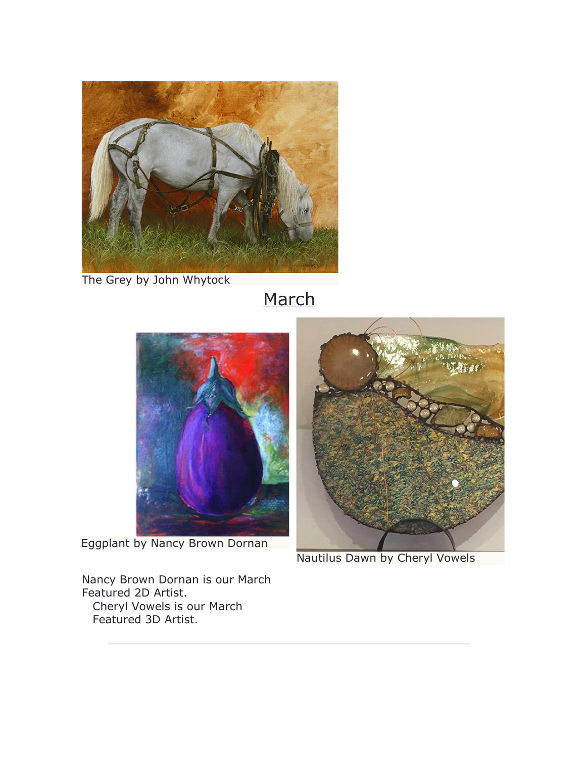

The Grey by John [Whytock](http://link.faso.com/c/443/80d7aa18f7426a757402d869dbee6e023bddbbdf5d4ff080437b7dbff5ae6eed)

# March



[Eggplant](http://link.faso.com/c/443/80d7aa18f7426a757402d869dbee6e023bddbbdf5d4ff08055ea5fb17342fe2a) by Nancy Brown Dornan

Nancy Brown Dornan is our March Featured 2D Artist. Cheryl Vowels is our March Featured 3D Artist.



[Nautilus](http://link.faso.com/c/443/80d7aa18f7426a757402d869dbee6e023bddbbdf5d4ff080e24eb9b0e9a4b197) Dawn by Cheryl Vowels